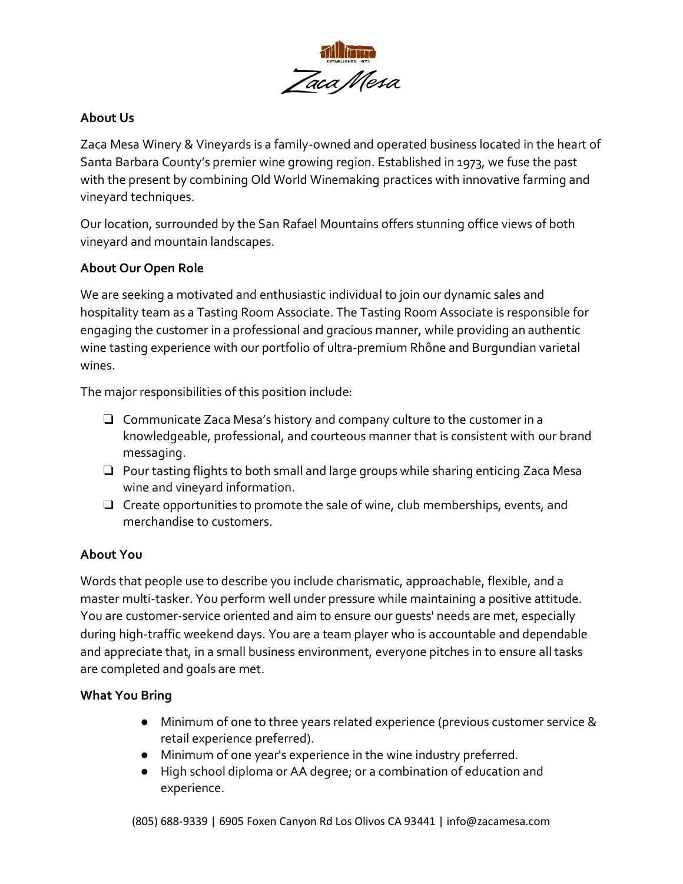

## **About Us**

Zaca Mesa Winery & Vineyards is a family-owned and operated business located in the heart of Santa Barbara County's premier wine growing region. Established in 1973, we fuse the past with the present by combining Old World Winemaking practices with innovative farming and vineyard techniques.

Our location, surrounded by the San Rafael Mountains offers stunning office views of both vineyard and mountain landscapes.

#### **About Our Open Role**

We are seeking a motivated and enthusiastic individual to join our dynamic sales and hospitality team as a Tasting Room Associate. The Tasting Room Associate is responsible for engaging the customer in a professional and gracious manner, while providing an authentic wine tasting experience with our portfolio of ultra-premium Rhône and Burgundian varietal wines.

The major responsibilities of this position include:

- ❏ Communicate Zaca Mesa's history and company culture to the customer in a knowledgeable, professional, and courteous manner that is consistent with our brand messaging.
- ❏ Pour tasting flights to both small and large groups while sharing enticing Zaca Mesa wine and vineyard information.
- ❏ Create opportunities to promote the sale of wine, club memberships, events, and merchandise to customers.

# **About You**

Words that people use to describe you include charismatic, approachable, flexible, and a master multi-tasker. You perform well under pressure while maintaining a positive attitude. You are customer-service oriented and aim to ensure our guests' needs are met, especially during high-traffic weekend days. You are a team player who is accountable and dependable and appreciate that, in a small business environment, everyone pitches in to ensure all tasks are completed and goals are met.

#### **What You Bring**

- Minimum of one to three years related experience (previous customer service & retail experience preferred).
- Minimum of one year's experience in the wine industry preferred.
- High school diploma or AA degree; or a combination of education and experience.

(805) 688-9339 | 6905 Foxen Canyon Rd Los Olivos CA 93441 | info@zacamesa.com